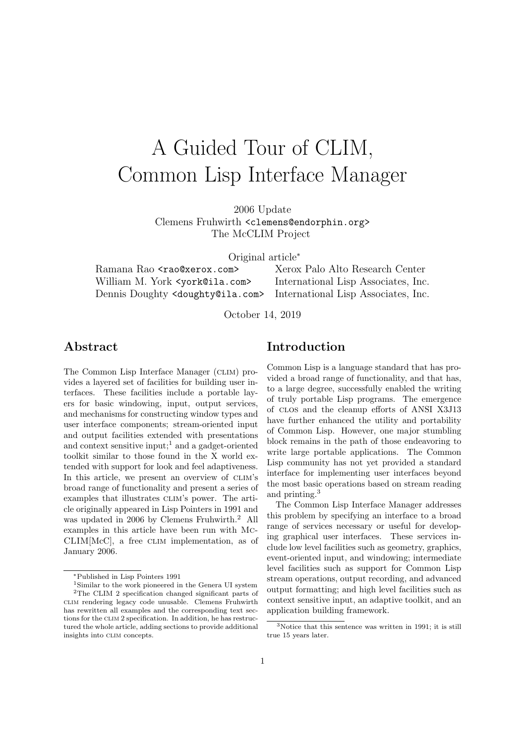# A Guided Tour of CLIM, Common Lisp Interface Manager

2006 Update Clemens Fruhwirth <clemens@endorphin.org> The McCLIM Project

Original article<sup>∗</sup>

William M. York <york@ila.com> International Lisp Associates, Inc. Dennis Doughty <doughty@ila.com> International Lisp Associates, Inc.

Ramana Rao <rao@xerox.com> Xerox Palo Alto Research Center

October 14, 2019

### Abstract

The Common Lisp Interface Manager (clim) provides a layered set of facilities for building user interfaces. These facilities include a portable layers for basic windowing, input, output services, and mechanisms for constructing window types and user interface components; stream-oriented input and output facilities extended with presentations and context sensitive input;<sup>1</sup> and a gadget-oriented toolkit similar to those found in the X world extended with support for look and feel adaptiveness. In this article, we present an overview of CLIM's broad range of functionality and present a series of examples that illustrates CLIM's power. The article originally appeared in Lisp Pointers in 1991 and was updated in 2006 by Clemens Fruhwirth.<sup>2</sup> All examples in this article have been run with Mc-CLIM[McC], a free CLIM implementation, as of January 2006.

# Introduction

Common Lisp is a language standard that has provided a broad range of functionality, and that has, to a large degree, successfully enabled the writing of truly portable Lisp programs. The emergence of clos and the cleanup efforts of ANSI X3J13 have further enhanced the utility and portability of Common Lisp. However, one major stumbling block remains in the path of those endeavoring to write large portable applications. The Common Lisp community has not yet provided a standard interface for implementing user interfaces beyond the most basic operations based on stream reading and printing.<sup>3</sup>

The Common Lisp Interface Manager addresses this problem by specifying an interface to a broad range of services necessary or useful for developing graphical user interfaces. These services include low level facilities such as geometry, graphics, event-oriented input, and windowing; intermediate level facilities such as support for Common Lisp stream operations, output recording, and advanced output formatting; and high level facilities such as context sensitive input, an adaptive toolkit, and an application building framework.

<sup>∗</sup>Published in Lisp Pointers 1991

<sup>1</sup>Similar to the work pioneered in the Genera UI system <sup>2</sup>The CLIM 2 specification changed significant parts of clim rendering legacy code unusable. Clemens Fruhwirth has rewritten all examples and the corresponding text sections for the clim 2 specification. In addition, he has restructured the whole article, adding sections to provide additional insights into clim concepts.

<sup>3</sup>Notice that this sentence was written in 1991; it is still true 15 years later.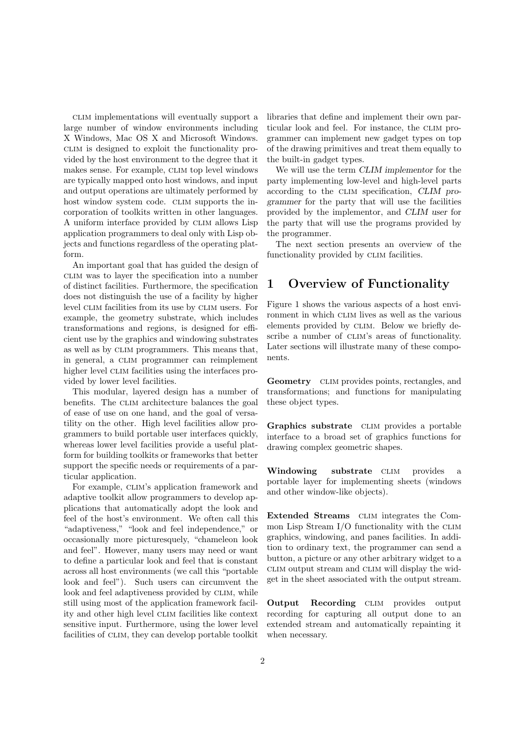clim implementations will eventually support a large number of window environments including X Windows, Mac OS X and Microsoft Windows. clim is designed to exploit the functionality provided by the host environment to the degree that it makes sense. For example, CLIM top level windows are typically mapped onto host windows, and input and output operations are ultimately performed by host window system code. CLIM supports the incorporation of toolkits written in other languages. A uniform interface provided by CLIM allows Lisp application programmers to deal only with Lisp objects and functions regardless of the operating platform.

An important goal that has guided the design of clim was to layer the specification into a number of distinct facilities. Furthermore, the specification does not distinguish the use of a facility by higher level CLIM facilities from its use by CLIM users. For example, the geometry substrate, which includes transformations and regions, is designed for efficient use by the graphics and windowing substrates as well as by CLIM programmers. This means that, in general, a CLIM programmer can reimplement higher level CLIM facilities using the interfaces provided by lower level facilities.

This modular, layered design has a number of benefits. The CLIM architecture balances the goal of ease of use on one hand, and the goal of versatility on the other. High level facilities allow programmers to build portable user interfaces quickly, whereas lower level facilities provide a useful platform for building toolkits or frameworks that better support the specific needs or requirements of a particular application.

For example, CLIM's application framework and adaptive toolkit allow programmers to develop applications that automatically adopt the look and feel of the host's environment. We often call this "adaptiveness," "look and feel independence," or occasionally more picturesquely, "chameleon look and feel". However, many users may need or want to define a particular look and feel that is constant across all host environments (we call this "portable look and feel"). Such users can circumvent the look and feel adaptiveness provided by CLIM, while still using most of the application framework facility and other high level CLIM facilities like context sensitive input. Furthermore, using the lower level facilities of CLIM, they can develop portable toolkit libraries that define and implement their own particular look and feel. For instance, the CLIM programmer can implement new gadget types on top of the drawing primitives and treat them equally to the built-in gadget types.

We will use the term CLIM implementor for the party implementing low-level and high-level parts according to the CLIM specification, CLIM programmer for the party that will use the facilities provided by the implementor, and CLIM user for the party that will use the programs provided by the programmer.

The next section presents an overview of the functionality provided by CLIM facilities.

# 1 Overview of Functionality

Figure 1 shows the various aspects of a host environment in which CLIM lives as well as the various elements provided by CLIM. Below we briefly describe a number of CLIM's areas of functionality. Later sections will illustrate many of these components.

Geometry CLIM provides points, rectangles, and transformations; and functions for manipulating these object types.

Graphics substrate CLIM provides a portable interface to a broad set of graphics functions for drawing complex geometric shapes.

Windowing substrate CLIM provides a portable layer for implementing sheets (windows and other window-like objects).

Extended Streams CLIM integrates the Common Lisp Stream I/O functionality with the CLIM graphics, windowing, and panes facilities. In addition to ordinary text, the programmer can send a button, a picture or any other arbitrary widget to a clim output stream and clim will display the widget in the sheet associated with the output stream.

Output Recording CLIM provides output recording for capturing all output done to an extended stream and automatically repainting it when necessary.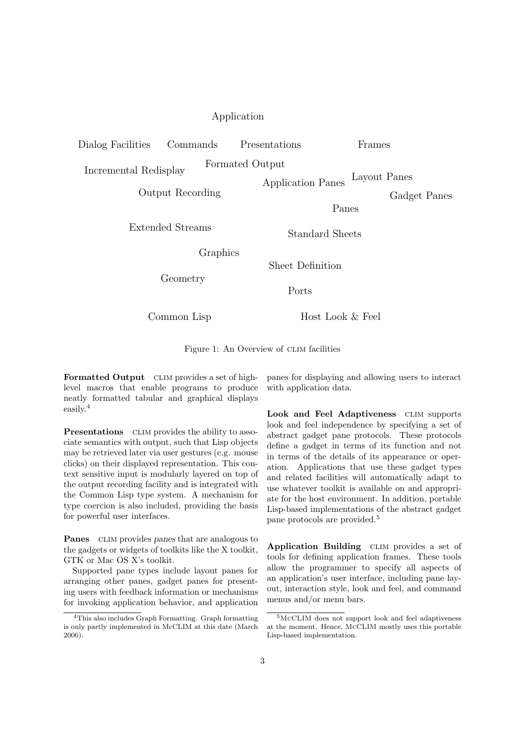#### Application

Dialog Facilities Commands Presentations

Frames

Incremental Redisplay Formated Output

Layout Panes Application Panes

Panes

Output Recording

Gadget Panes

Extended Streams<br>
Standard Sheets

Graphics

Geometry

Ports

Sheet Definition

Common Lisp

Host Look & Feel

Figure 1: An Overview of CLIM facilities

Formatted Output CLIM provides a set of highlevel macros that enable programs to produce neatly formatted tabular and graphical displays easily.<sup>4</sup>

**Presentations** CLIM provides the ability to associate semantics with output, such that Lisp objects may be retrieved later via user gestures (e.g. mouse clicks) on their displayed representation. This context sensitive input is modularly layered on top of the output recording facility and is integrated with the Common Lisp type system. A mechanism for type coercion is also included, providing the basis for powerful user interfaces.

**Panes** CLIM provides panes that are analogous to the gadgets or widgets of toolkits like the X toolkit, GTK or Mac OS X's toolkit.

Supported pane types include layout panes for arranging other panes, gadget panes for presenting users with feedback information or mechanisms for invoking application behavior, and application

panes for displaying and allowing users to interact with application data.

Look and Feel Adaptiveness CLIM supports look and feel independence by specifying a set of abstract gadget pane protocols. These protocols define a gadget in terms of its function and not in terms of the details of its appearance or operation. Applications that use these gadget types and related facilities will automatically adapt to use whatever toolkit is available on and appropriate for the host environment. In addition, portable Lisp-based implementations of the abstract gadget pane protocols are provided.<sup>5</sup>

Application Building CLIM provides a set of tools for defining application frames. These tools allow the programmer to specify all aspects of an application's user interface, including pane layout, interaction style, look and feel, and command menus and/or menu bars.

<sup>4</sup>This also includes Graph Formatting. Graph formatting is only partly implemented in McCLIM at this date (March 2006).

<sup>5</sup>McCLIM does not support look and feel adaptiveness at the moment. Hence, McCLIM mostly uses this portable Lisp-based implementation.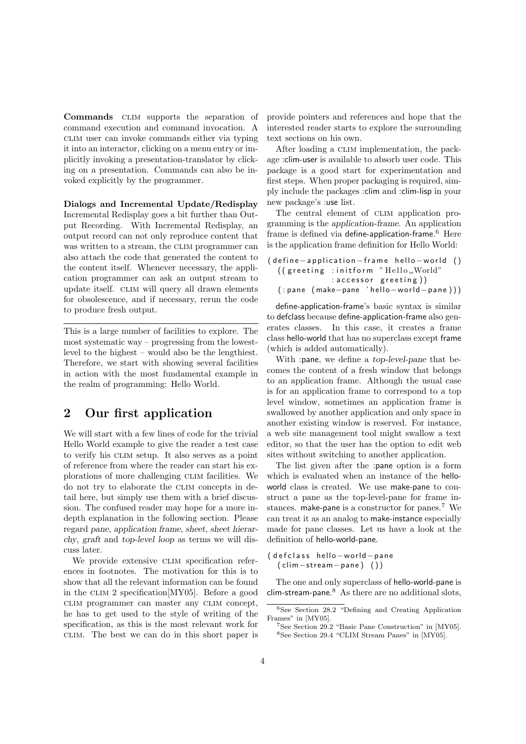Commands CLIM supports the separation of command execution and command invocation. A clim user can invoke commands either via typing it into an interactor, clicking on a menu entry or implicitly invoking a presentation-translator by clicking on a presentation. Commands can also be invoked explicitly by the programmer.

Dialogs and Incremental Update/Redisplay

Incremental Redisplay goes a bit further than Output Recording. With Incremental Redisplay, an output record can not only reproduce content that was written to a stream, the CLIM programmer can also attach the code that generated the content to the content itself. Whenever necessary, the application programmer can ask an output stream to update itself. CLIM will query all drawn elements for obsolescence, and if necessary, rerun the code to produce fresh output.

This is a large number of facilities to explore. The most systematic way – progressing from the lowestlevel to the highest – would also be the lengthiest. Therefore, we start with showing several facilities in action with the most fundamental example in the realm of programming: Hello World.

# 2 Our first application

We will start with a few lines of code for the trivial Hello World example to give the reader a test case to verify his clim setup. It also serves as a point of reference from where the reader can start his explorations of more challenging CLIM facilities. We do not try to elaborate the clim concepts in detail here, but simply use them with a brief discussion. The confused reader may hope for a more indepth explanation in the following section. Please regard pane, application frame, sheet, sheet hierarchy, graft and top-level loop as terms we will discuss later.

We provide extensive CLIM specification references in footnotes. The motivation for this is to show that all the relevant information can be found in the CLIM 2 specification  $[MY05]$ . Before a good clim programmer can master any clim concept, he has to get used to the style of writing of the specification, as this is the most relevant work for clim. The best we can do in this short paper is provide pointers and references and hope that the interested reader starts to explore the surrounding text sections on his own.

After loading a CLIM implementation, the package :clim-user is available to absorb user code. This package is a good start for experimentation and first steps. When proper packaging is required, simply include the packages :clim and :clim-lisp in your new package's :use list.

The central element of CLIM application programming is the application-frame. An application frame is defined via define-application-frame.<sup>6</sup> Here is the application frame definition for Hello World:

```
( define - application - frame hello - world ()
  (( greeting : initform "Hello_World"
               : accessor greeting))
  ( : pane ( make−pane ' hell o−w o rl d−pa ne ) ) )
```
define-application-frame's basic syntax is similar to defclass because define-application-frame also generates classes. In this case, it creates a frame class hello-world that has no superclass except frame (which is added automatically).

With :pane, we define a top-level-pane that becomes the content of a fresh window that belongs to an application frame. Although the usual case is for an application frame to correspond to a top level window, sometimes an application frame is swallowed by another application and only space in another existing window is reserved. For instance, a web site management tool might swallow a text editor, so that the user has the option to edit web sites without switching to another application.

The list given after the :pane option is a form which is evaluated when an instance of the helloworld class is created. We use make-pane to construct a pane as the top-level-pane for frame instances. make-pane is a constructor for panes.<sup>7</sup> We can treat it as an analog to make-instance especially made for pane classes. Let us have a look at the definition of hello-world-pane.

( defclass hello-world-pane ( clim−s t ream−pane ) ( ) )

The one and only superclass of hello-world-pane is  $clim$ -stream-pane. $8$  As there are no additional slots,

<sup>6</sup>See Section 28.2 "Defining and Creating Application Frames" in [MY05].

<sup>7</sup>See Section 29.2 "Basic Pane Construction" in [MY05]. <sup>8</sup>See Section 29.4 "CLIM Stream Panes" in [MY05].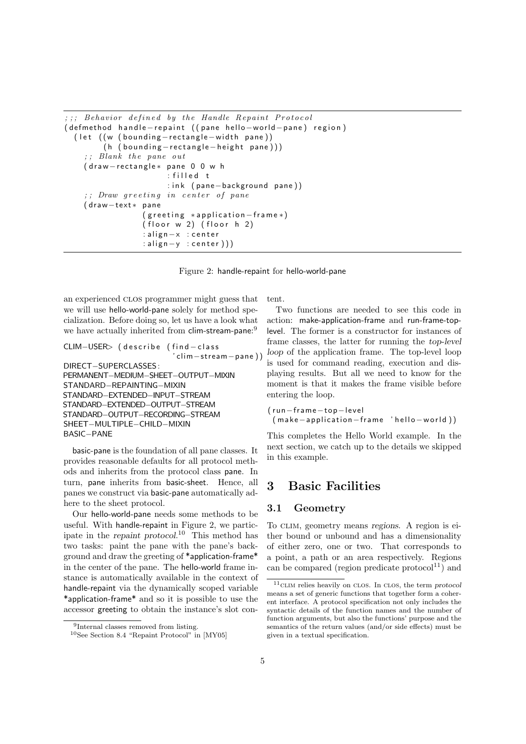```
; ; ; Behavior defined by the Handle Repaint Protocol
( defmethod hand le-repaint ( ( pane hello-world-pane) region)
  ( let ( (w ( bounding - rectangle - width pane))
        (h (bounding-rectangle-height pane)))
      Blank the pane out
    (draw-rectangle* pane 0 0 w h
                      : filled t
                      : ink (pane-background pane))
    ;;; Draw greeting in center of pane
    (draw-text* pane
                 (g reeting *application - frame*)
                 (floor w 2) (floor h 2): align-x : center
                 : align−y : center ) ) )
```
Figure 2: handle-repaint for hello-world-pane

an experienced clos programmer might guess that we will use hello-world-pane solely for method specialization. Before doing so, let us have a look what we have actually inherited from clim-stream-pane:<sup>9</sup>

```
CLIM-USER> (describe (find-class
                       ' clim−s t ream−pane ) )
DIRECT−SUPERCLASSES :
PERMANENT−MEDIUM−SHEET−OUTPUT−MIXIN
STANDARD−REPAINTING−MIXIN
STANDARD−EXTENDED−INPUT−STREAM
STANDARD−EXTENDED−OUTPUT−STREAM
STANDARD−OUTPUT−RECORDING−STREAM
SHEET−MULTIPLE−CHILD−MIXIN
BASIC−PANE
```
basic-pane is the foundation of all pane classes. It provides reasonable defaults for all protocol methods and inherits from the protocol class pane. In turn, pane inherits from basic-sheet. Hence, all panes we construct via basic-pane automatically adhere to the sheet protocol.

Our hello-world-pane needs some methods to be useful. With handle-repaint in Figure 2, we participate in the repaint protocol. <sup>10</sup> This method has two tasks: paint the pane with the pane's background and draw the greeting of \*application-frame\* in the center of the pane. The hello-world frame instance is automatically available in the context of handle-repaint via the dynamically scoped variable \*application-frame\* and so it is possible to use the accessor greeting to obtain the instance's slot content.

Two functions are needed to see this code in action: make-application-frame and run-frame-toplevel. The former is a constructor for instances of frame classes, the latter for running the top-level loop of the application frame. The top-level loop is used for command reading, execution and displaying results. But all we need to know for the moment is that it makes the frame visible before entering the loop.

```
( r u n−f rame−t o p−level
 (make-application-frame 'hello-world))
```
This completes the Hello World example. In the next section, we catch up to the details we skipped in this example.

# 3 Basic Facilities

#### 3.1 Geometry

To CLIM, geometry means regions. A region is either bound or unbound and has a dimensionality of either zero, one or two. That corresponds to a point, a path or an area respectively. Regions can be compared (region predicate protocol $11$ ) and

<sup>9</sup> Internal classes removed from listing.

<sup>10</sup>See Section 8.4 "Repaint Protocol" in [MY05]

 $^{11}\rm CLM$  relies heavily on closs. In clos, the term protocol means a set of generic functions that together form a coherent interface. A protocol specification not only includes the syntactic details of the function names and the number of function arguments, but also the functions' purpose and the semantics of the return values (and/or side effects) must be given in a textual specification.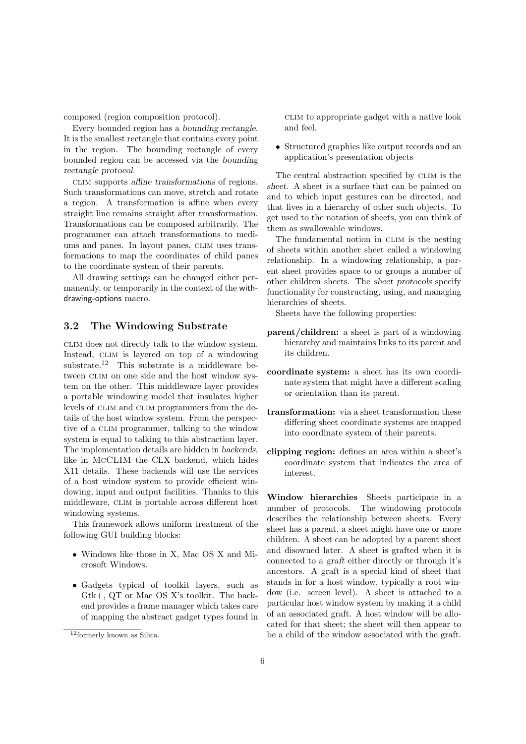composed (region composition protocol).

Every bounded region has a bounding rectangle. It is the smallest rectangle that contains every point in the region. The bounding rectangle of every bounded region can be accessed via the bounding rectangle protocol.

clim supports affine transformations of regions. Such transformations can move, stretch and rotate a region. A transformation is affine when every straight line remains straight after transformation. Transformations can be composed arbitrarily. The programmer can attach transformations to mediums and panes. In layout panes, CLIM uses transformations to map the coordinates of child panes to the coordinate system of their parents.

All drawing settings can be changed either permanently, or temporarily in the context of the withdrawing-options macro.

#### 3.2 The Windowing Substrate

clim does not directly talk to the window system. Instead, CLIM is layered on top of a windowing substrate.<sup>12</sup> This substrate is a middleware between CLIM on one side and the host window system on the other. This middleware layer provides a portable windowing model that insulates higher levels of CLIM and CLIM programmers from the details of the host window system. From the perspective of a CLIM programmer, talking to the window system is equal to talking to this abstraction layer. The implementation details are hidden in backends, like in McCLIM the CLX backend, which hides X11 details. These backends will use the services of a host window system to provide efficient windowing, input and output facilities. Thanks to this middleware, CLIM is portable across different host windowing systems.

This framework allows uniform treatment of the following GUI building blocks:

- Windows like those in X, Mac OS X and Microsoft Windows.
- Gadgets typical of toolkit layers, such as Gtk+, QT or Mac OS X's toolkit. The backend provides a frame manager which takes care of mapping the abstract gadget types found in

clim to appropriate gadget with a native look and feel.

• Structured graphics like output records and an application's presentation objects

The central abstraction specified by clim is the sheet. A sheet is a surface that can be painted on and to which input gestures can be directed, and that lives in a hierarchy of other such objects. To get used to the notation of sheets, you can think of them as swallowable windows.

The fundamental notion in CLIM is the nesting of sheets within another sheet called a windowing relationship. In a windowing relationship, a parent sheet provides space to or groups a number of other children sheets. The sheet protocols specify functionality for constructing, using, and managing hierarchies of sheets.

Sheets have the following properties:

- parent/children: a sheet is part of a windowing hierarchy and maintains links to its parent and its children.
- coordinate system: a sheet has its own coordinate system that might have a different scaling or orientation than its parent.
- transformation: via a sheet transformation these differing sheet coordinate systems are mapped into coordinate system of their parents.
- clipping region: defines an area within a sheet's coordinate system that indicates the area of interest.

Window hierarchies Sheets participate in a number of protocols. The windowing protocols describes the relationship between sheets. Every sheet has a parent, a sheet might have one or more children. A sheet can be adopted by a parent sheet and disowned later. A sheet is grafted when it is connected to a graft either directly or through it's ancestors. A graft is a special kind of sheet that stands in for a host window, typically a root window (i.e. screen level). A sheet is attached to a particular host window system by making it a child of an associated graft. A host window will be allocated for that sheet; the sheet will then appear to be a child of the window associated with the graft.

<sup>12</sup>formerly known as Silica.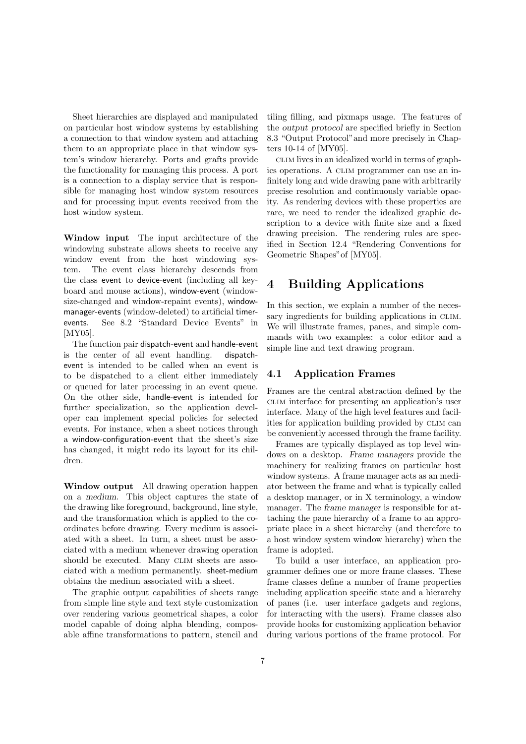Sheet hierarchies are displayed and manipulated on particular host window systems by establishing a connection to that window system and attaching them to an appropriate place in that window system's window hierarchy. Ports and grafts provide the functionality for managing this process. A port is a connection to a display service that is responsible for managing host window system resources and for processing input events received from the host window system.

Window input The input architecture of the windowing substrate allows sheets to receive any window event from the host windowing system. The event class hierarchy descends from the class event to device-event (including all keyboard and mouse actions), window-event (windowsize-changed and window-repaint events), windowmanager-events (window-deleted) to artificial timerevents. See 8.2 "Standard Device Events" in [MY05].

The function pair dispatch-event and handle-event is the center of all event handling. dispatchevent is intended to be called when an event is to be dispatched to a client either immediately or queued for later processing in an event queue. On the other side, handle-event is intended for further specialization, so the application developer can implement special policies for selected events. For instance, when a sheet notices through a window-configuration-event that the sheet's size has changed, it might redo its layout for its children.

Window output All drawing operation happen on a medium. This object captures the state of the drawing like foreground, background, line style, and the transformation which is applied to the coordinates before drawing. Every medium is associated with a sheet. In turn, a sheet must be associated with a medium whenever drawing operation should be executed. Many CLIM sheets are associated with a medium permanently. sheet-medium obtains the medium associated with a sheet.

The graphic output capabilities of sheets range from simple line style and text style customization over rendering various geometrical shapes, a color model capable of doing alpha blending, composable affine transformations to pattern, stencil and tiling filling, and pixmaps usage. The features of the output protocol are specified briefly in Section 8.3 "Output Protocol"and more precisely in Chapters 10-14 of [MY05].

clim lives in an idealized world in terms of graphics operations. A CLIM programmer can use an infinitely long and wide drawing pane with arbitrarily precise resolution and continuously variable opacity. As rendering devices with these properties are rare, we need to render the idealized graphic description to a device with finite size and a fixed drawing precision. The rendering rules are specified in Section 12.4 "Rendering Conventions for Geometric Shapes"of [MY05].

# 4 Building Applications

In this section, we explain a number of the necessary ingredients for building applications in CLIM. We will illustrate frames, panes, and simple commands with two examples: a color editor and a simple line and text drawing program.

#### 4.1 Application Frames

Frames are the central abstraction defined by the clim interface for presenting an application's user interface. Many of the high level features and facilities for application building provided by CLIM can be conveniently accessed through the frame facility.

Frames are typically displayed as top level windows on a desktop. Frame managers provide the machinery for realizing frames on particular host window systems. A frame manager acts as an mediator between the frame and what is typically called a desktop manager, or in X terminology, a window manager. The frame manager is responsible for attaching the pane hierarchy of a frame to an appropriate place in a sheet hierarchy (and therefore to a host window system window hierarchy) when the frame is adopted.

To build a user interface, an application programmer defines one or more frame classes. These frame classes define a number of frame properties including application specific state and a hierarchy of panes (i.e. user interface gadgets and regions, for interacting with the users). Frame classes also provide hooks for customizing application behavior during various portions of the frame protocol. For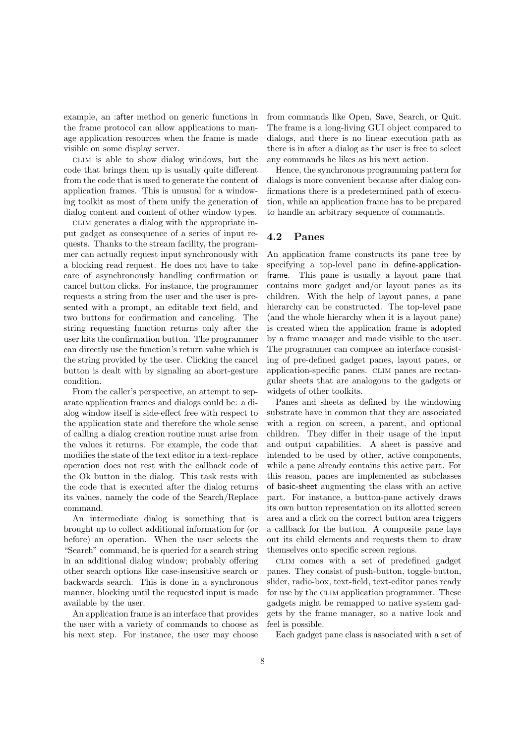example, an :after method on generic functions in the frame protocol can allow applications to manage application resources when the frame is made visible on some display server.

clim is able to show dialog windows, but the code that brings them up is usually quite different from the code that is used to generate the content of application frames. This is unusual for a windowing toolkit as most of them unify the generation of dialog content and content of other window types.

clim generates a dialog with the appropriate input gadget as consequence of a series of input requests. Thanks to the stream facility, the programmer can actually request input synchronously with a blocking read request. He does not have to take care of asynchronously handling confirmation or cancel button clicks. For instance, the programmer requests a string from the user and the user is presented with a prompt, an editable text field, and two buttons for confirmation and canceling. The string requesting function returns only after the user hits the confirmation button. The programmer can directly use the function's return value which is the string provided by the user. Clicking the cancel button is dealt with by signaling an abort-gesture condition.

From the caller's perspective, an attempt to separate application frames and dialogs could be: a dialog window itself is side-effect free with respect to the application state and therefore the whole sense of calling a dialog creation routine must arise from the values it returns. For example, the code that modifies the state of the text editor in a text-replace operation does not rest with the callback code of the Ok button in the dialog. This task rests with the code that is executed after the dialog returns its values, namely the code of the Search/Replace command.

An intermediate dialog is something that is brought up to collect additional information for (or before) an operation. When the user selects the "Search" command, he is queried for a search string in an additional dialog window; probably offering other search options like case-insensitive search or backwards search. This is done in a synchronous manner, blocking until the requested input is made available by the user.

An application frame is an interface that provides the user with a variety of commands to choose as his next step. For instance, the user may choose from commands like Open, Save, Search, or Quit. The frame is a long-living GUI object compared to dialogs, and there is no linear execution path as there is in after a dialog as the user is free to select any commands he likes as his next action.

Hence, the synchronous programming pattern for dialogs is more convenient because after dialog confirmations there is a predetermined path of execution, while an application frame has to be prepared to handle an arbitrary sequence of commands.

#### 4.2 Panes

An application frame constructs its pane tree by specifying a top-level pane in define-applicationframe. This pane is usually a layout pane that contains more gadget and/or layout panes as its children. With the help of layout panes, a pane hierarchy can be constructed. The top-level pane (and the whole hierarchy when it is a layout pane) is created when the application frame is adopted by a frame manager and made visible to the user. The programmer can compose an interface consisting of pre-defined gadget panes, layout panes, or application-specific panes. clim panes are rectangular sheets that are analogous to the gadgets or widgets of other toolkits.

Panes and sheets as defined by the windowing substrate have in common that they are associated with a region on screen, a parent, and optional children. They differ in their usage of the input and output capabilities. A sheet is passive and intended to be used by other, active components, while a pane already contains this active part. For this reason, panes are implemented as subclasses of basic-sheet augmenting the class with an active part. For instance, a button-pane actively draws its own button representation on its allotted screen area and a click on the correct button area triggers a callback for the button. A composite pane lays out its child elements and requests them to draw themselves onto specific screen regions.

clim comes with a set of predefined gadget panes. They consist of push-button, toggle-button, slider, radio-box, text-field, text-editor panes ready for use by the CLIM application programmer. These gadgets might be remapped to native system gadgets by the frame manager, so a native look and feel is possible.

Each gadget pane class is associated with a set of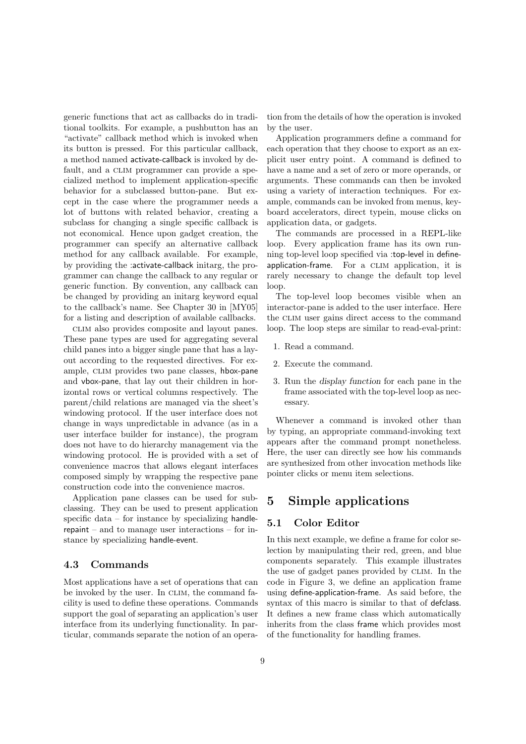generic functions that act as callbacks do in traditional toolkits. For example, a pushbutton has an "activate" callback method which is invoked when its button is pressed. For this particular callback, a method named activate-callback is invoked by default, and a CLIM programmer can provide a specialized method to implement application-specific behavior for a subclassed button-pane. But except in the case where the programmer needs a lot of buttons with related behavior, creating a subclass for changing a single specific callback is not economical. Hence upon gadget creation, the programmer can specify an alternative callback method for any callback available. For example, by providing the :activate-callback initarg, the programmer can change the callback to any regular or generic function. By convention, any callback can be changed by providing an initarg keyword equal to the callback's name. See Chapter 30 in [MY05] for a listing and description of available callbacks.

clim also provides composite and layout panes. These pane types are used for aggregating several child panes into a bigger single pane that has a layout according to the requested directives. For example, CLIM provides two pane classes, hbox-pane and vbox-pane, that lay out their children in horizontal rows or vertical columns respectively. The parent/child relations are managed via the sheet's windowing protocol. If the user interface does not change in ways unpredictable in advance (as in a user interface builder for instance), the program does not have to do hierarchy management via the windowing protocol. He is provided with a set of convenience macros that allows elegant interfaces composed simply by wrapping the respective pane construction code into the convenience macros.

Application pane classes can be used for subclassing. They can be used to present application specific data – for instance by specializing handlerepaint – and to manage user interactions – for instance by specializing handle-event.

#### 4.3 Commands

Most applications have a set of operations that can be invoked by the user. In CLIM, the command facility is used to define these operations. Commands support the goal of separating an application's user interface from its underlying functionality. In particular, commands separate the notion of an operation from the details of how the operation is invoked by the user.

Application programmers define a command for each operation that they choose to export as an explicit user entry point. A command is defined to have a name and a set of zero or more operands, or arguments. These commands can then be invoked using a variety of interaction techniques. For example, commands can be invoked from menus, keyboard accelerators, direct typein, mouse clicks on application data, or gadgets.

The commands are processed in a REPL-like loop. Every application frame has its own running top-level loop specified via :top-level in defineapplication-frame. For a CLIM application, it is rarely necessary to change the default top level loop.

The top-level loop becomes visible when an interactor-pane is added to the user interface. Here the CLIM user gains direct access to the command loop. The loop steps are similar to read-eval-print:

- 1. Read a command.
- 2. Execute the command.
- 3. Run the display function for each pane in the frame associated with the top-level loop as necessary.

Whenever a command is invoked other than by typing, an appropriate command-invoking text appears after the command prompt nonetheless. Here, the user can directly see how his commands are synthesized from other invocation methods like pointer clicks or menu item selections.

# 5 Simple applications

#### 5.1 Color Editor

In this next example, we define a frame for color selection by manipulating their red, green, and blue components separately. This example illustrates the use of gadget panes provided by CLIM. In the code in Figure 3, we define an application frame using define-application-frame. As said before, the syntax of this macro is similar to that of defclass. It defines a new frame class which automatically inherits from the class frame which provides most of the functionality for handling frames.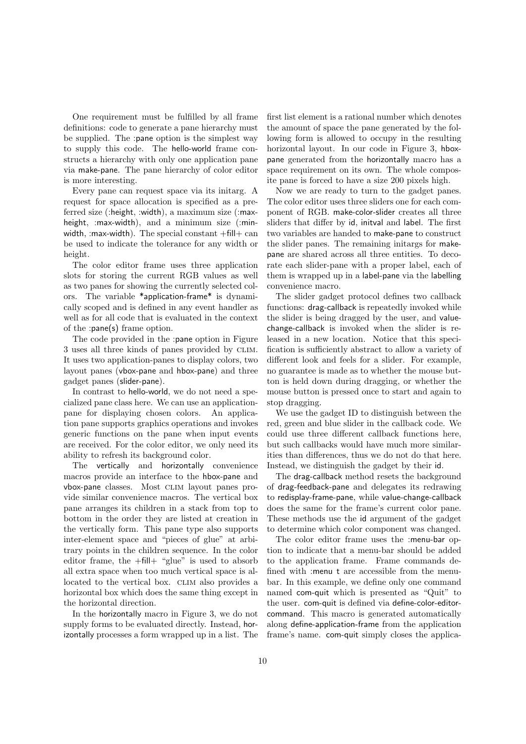One requirement must be fulfilled by all frame definitions: code to generate a pane hierarchy must be supplied. The :pane option is the simplest way to supply this code. The hello-world frame constructs a hierarchy with only one application pane via make-pane. The pane hierarchy of color editor is more interesting.

Every pane can request space via its initarg. A request for space allocation is specified as a preferred size (:height, :width), a maximum size (:maxheight, :max-width), and a minimum size (:minwidth, : max-width). The special constant  $+f\text{.}$   $\text{.}$  The special constant  $+f\text{.}$   $\text{.}$   $\text{.}$ be used to indicate the tolerance for any width or height.

The color editor frame uses three application slots for storing the current RGB values as well as two panes for showing the currently selected colors. The variable \*application-frame\* is dynamically scoped and is defined in any event handler as well as for all code that is evaluated in the context of the :pane(s) frame option.

The code provided in the :pane option in Figure 3 uses all three kinds of panes provided by CLIM. It uses two application-panes to display colors, two layout panes (vbox-pane and hbox-pane) and three gadget panes (slider-pane).

In contrast to hello-world, we do not need a specialized pane class here. We can use an applicationpane for displaying chosen colors. An application pane supports graphics operations and invokes generic functions on the pane when input events are received. For the color editor, we only need its ability to refresh its background color.

The vertically and horizontally convenience macros provide an interface to the hbox-pane and vbox-pane classes. Most CLIM layout panes provide similar convenience macros. The vertical box pane arranges its children in a stack from top to bottom in the order they are listed at creation in the vertically form. This pane type also supports inter-element space and "pieces of glue" at arbitrary points in the children sequence. In the color editor frame, the +fill+ "glue" is used to absorb all extra space when too much vertical space is allocated to the vertical box. CLIM also provides a horizontal box which does the same thing except in the horizontal direction.

In the horizontally macro in Figure 3, we do not supply forms to be evaluated directly. Instead, horizontally processes a form wrapped up in a list. The first list element is a rational number which denotes the amount of space the pane generated by the following form is allowed to occupy in the resulting horizontal layout. In our code in Figure 3, hboxpane generated from the horizontally macro has a space requirement on its own. The whole composite pane is forced to have a size 200 pixels high.

Now we are ready to turn to the gadget panes. The color editor uses three sliders one for each component of RGB. make-color-slider creates all three sliders that differ by id, initval and label. The first two variables are handed to make-pane to construct the slider panes. The remaining initargs for makepane are shared across all three entities. To decorate each slider-pane with a proper label, each of them is wrapped up in a label-pane via the labelling convenience macro.

The slider gadget protocol defines two callback functions: drag-callback is repeatedly invoked while the slider is being dragged by the user, and valuechange-callback is invoked when the slider is released in a new location. Notice that this specification is sufficiently abstract to allow a variety of different look and feels for a slider. For example, no guarantee is made as to whether the mouse button is held down during dragging, or whether the mouse button is pressed once to start and again to stop dragging.

We use the gadget ID to distinguish between the red, green and blue slider in the callback code. We could use three different callback functions here, but such callbacks would have much more similarities than differences, thus we do not do that here. Instead, we distinguish the gadget by their id.

The drag-callback method resets the background of drag-feedback-pane and delegates its redrawing to redisplay-frame-pane, while value-change-callback does the same for the frame's current color pane. These methods use the id argument of the gadget to determine which color component was changed.

The color editor frame uses the :menu-bar option to indicate that a menu-bar should be added to the application frame. Frame commands defined with :menu t are accessible from the menubar. In this example, we define only one command named com-quit which is presented as "Quit" to the user. com-quit is defined via define-color-editorcommand. This macro is generated automatically along define-application-frame from the application frame's name. com-quit simply closes the applica-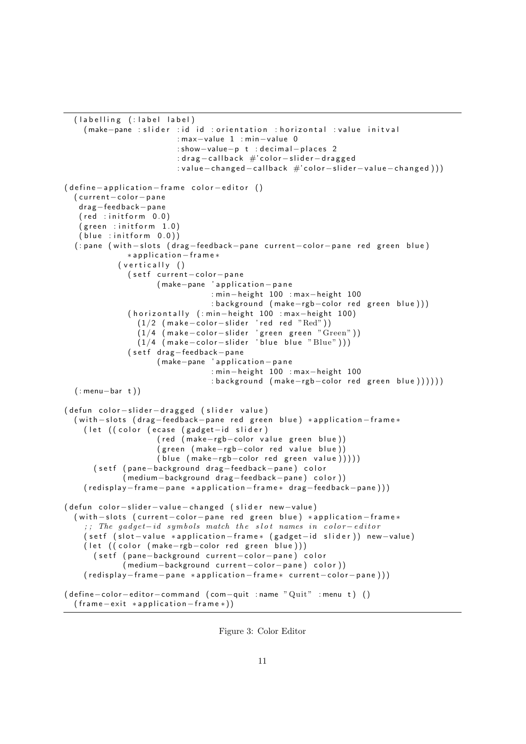```
(labelling (: label label)
    (make-pane : slider : id id : orientation : horizontal : value initval
                         : max−value 1 : min−value 0
                         : show-value-p t : decimal-places 2
                         : drag-callback #'color-slider-dragged
                         : value-changed-callback #'color-slider-value-changed)))
( define -application - frame color -editor ()
  ( current - color - pane
   d rag−feedback−pane
   (\text{red} : \text{initform} \quad 0.0)(g reen : init for n \neq 1.0(blue: initform (0.0)( : pane ( with - slots ( drag-feedback - pane current - color - pane red green blue)
              ∗ a p p l i c a t i o n−f r a m e ∗
            (vertically)(setf current-color-pane
                     (make-pane 'application-pane
                                 : min-height 100 : max-height 100
                                 : background (make-rgb-color red green blue)))
              ( horizontally (: min-height 100 : max-height 100)
                 (1/2 (make−color−slider 'red red "\mathrm{Red}"))
                 (1/4 (make−color−slider 'green green "\rm{Green}"))
                (1/4 (make-color-slider 'blue blue "Blue")))
              (setf drag-feedback-pane
                     (make-pane 'application-pane
                                 : min-height 100 : max-height 100
                                 : background (make-rgb-color red green blue))))))
  ( : menu−bar t ) )
( defun color-slider-dragged ( slider value)
  ( with -slots (drag-feedback-pane red green blue) *application-frame*
    ( let ( ( color ( ecase ( gadget-id slider)
                     ( red (make-rgb-color value green blue))
                     ( green ( make-rgb-color red value blue))
                     ( b l u e ( make-rgb-color red green value ) ) ) ) )
      ( setf (pane-background drag-feedback-pane) color
             ( medium-background drag-feedback-pane ) color ) )
    ( redisplay -frame - pane *application -frame* drag-feedback-pane ) ) )
( defun color-slider-value-changed ( slider new-value)
  ( with -slots ( current - color - pane red green blue) *application - frame *
    ;; The gadget-id symbols match the slot names in color-editor
    ( setf ( slot-value *application-frame* ( gadget-id slider )) new-value )
    ( let ( ( color ( make-rgb-color red green blue ) ) )
      ( setf ( pane-background current-color-pane) color
             ( medium-background current-color-pane) color))
    ( redisplay-frame-pane *application-frame* current-color-pane ) ) )
( define-color-editor-command ( com-quit : name "Quit" : menu t) ( )
  (f r am e -e x it * application -f r ame * ) )
```
Figure 3: Color Editor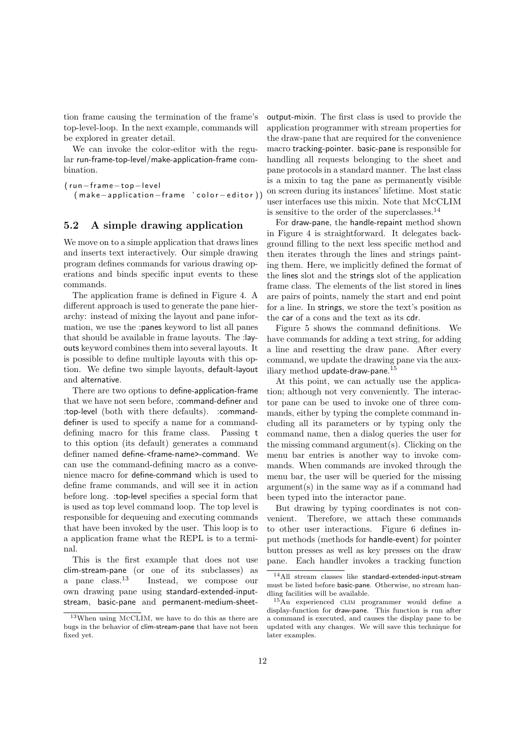tion frame causing the termination of the frame's top-level-loop. In the next example, commands will be explored in greater detail.

We can invoke the color-editor with the regular run-frame-top-level/make-application-frame combination.

```
(run-frame-top-level
  ( make - application - frame ' color - editor))
```
#### 5.2 A simple drawing application

We move on to a simple application that draws lines and inserts text interactively. Our simple drawing program defines commands for various drawing operations and binds specific input events to these commands.

The application frame is defined in Figure 4. A different approach is used to generate the pane hierarchy: instead of mixing the layout and pane information, we use the :panes keyword to list all panes that should be available in frame layouts. The :layouts keyword combines them into several layouts. It is possible to define multiple layouts with this option. We define two simple layouts, default-layout and alternative.

There are two options to define-application-frame that we have not seen before, :command-definer and :top-level (both with there defaults). :commanddefiner is used to specify a name for a commanddefining macro for this frame class. Passing t to this option (its default) generates a command definer named define-<frame-name>-command. We can use the command-defining macro as a convenience macro for define-command which is used to define frame commands, and will see it in action before long. :top-level specifies a special form that is used as top level command loop. The top level is responsible for dequeuing and executing commands that have been invoked by the user. This loop is to a application frame what the REPL is to a terminal.

This is the first example that does not use clim-stream-pane (or one of its subclasses) as a pane class.<sup>13</sup> Instead, we compose our own drawing pane using standard-extended-inputstream, basic-pane and permanent-medium-sheetoutput-mixin. The first class is used to provide the application programmer with stream properties for the draw-pane that are required for the convenience macro tracking-pointer. basic-pane is responsible for handling all requests belonging to the sheet and pane protocols in a standard manner. The last class is a mixin to tag the pane as permanently visible on screen during its instances' lifetime. Most static user interfaces use this mixin. Note that McCLIM is sensitive to the order of the superclasses.<sup>14</sup>

For draw-pane, the handle-repaint method shown in Figure 4 is straightforward. It delegates background filling to the next less specific method and then iterates through the lines and strings painting them. Here, we implicitly defined the format of the lines slot and the strings slot of the application frame class. The elements of the list stored in lines are pairs of points, namely the start and end point for a line. In strings, we store the text's position as the car of a cons and the text as its cdr.

Figure 5 shows the command definitions. We have commands for adding a text string, for adding a line and resetting the draw pane. After every command, we update the drawing pane via the auxiliary method update-draw-pane.<sup>15</sup>

At this point, we can actually use the application; although not very conveniently. The interactor pane can be used to invoke one of three commands, either by typing the complete command including all its parameters or by typing only the command name, then a dialog queries the user for the missing command argument(s). Clicking on the menu bar entries is another way to invoke commands. When commands are invoked through the menu bar, the user will be queried for the missing argument(s) in the same way as if a command had been typed into the interactor pane.

But drawing by typing coordinates is not convenient. Therefore, we attach these commands to other user interactions. Figure 6 defines input methods (methods for handle-event) for pointer button presses as well as key presses on the draw pane. Each handler invokes a tracking function

<sup>13</sup>When using McCLIM, we have to do this as there are bugs in the behavior of clim-stream-pane that have not been fixed yet.

<sup>14</sup>All stream classes like standard-extended-input-stream must be listed before basic-pane. Otherwise, no stream handling facilities will be available.

<sup>15</sup>An experienced clim programmer would define a display-function for draw-pane. This function is run after a command is executed, and causes the display pane to be updated with any changes. We will save this technique for later examples.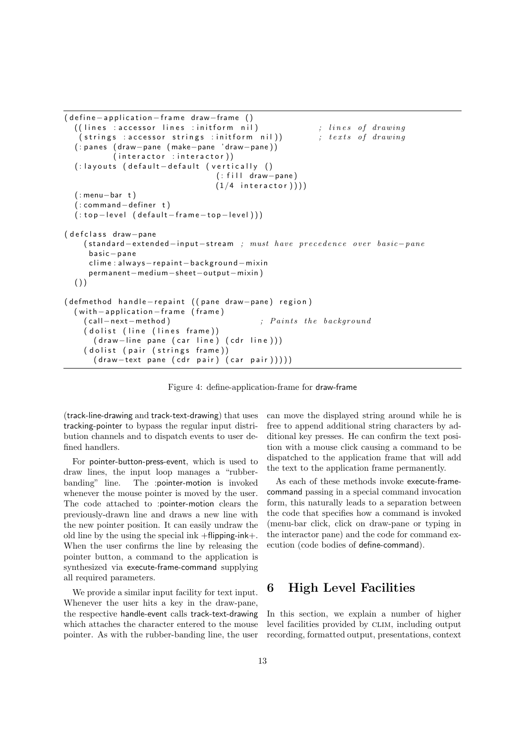```
( define -application - frame draw-frame ()
  ((\text{lines:accessor lines:initform nil}) ; lines of drawing
   (strings : accessor strings : initform nil)) ; texts of drawing
  ( : pa ne s ( draw−pane ( make−pane ' draw−pane ) )
           (interator : interactor))
  (: layouts (default - default (vertically ()
                                  (: fill draw−pane)
                                  (1/4 interactor ))( : menu−bar t )
  ( : command−de fine r t )
  ( : top-level ( default-frame-top-level ) ) )
( defclass draw−pane
    ( standard – extended – input – stream ; must have precedence over basic – pane
     ba sic−pa ne
     clime : always - repaint - background - mixin
     permanent−medium−sheet−output−mixin )
  ( )( defmethod hand le-repaint ( ( pane draw-pane) region )
  (with -application - frame (frame)
    ( call – next – method ) ; Paints the background
    ( dolist ( line ( lines frame ) )
      ( draw-line pane ( car line ) ( cdr line ) ) )
    ( dolist ( pair ( strings frame ))
      ( draw-text pane ( cdr pair) ( car pair ) ) ) ) )
```
Figure 4: define-application-frame for draw-frame

(track-line-drawing and track-text-drawing) that uses tracking-pointer to bypass the regular input distribution channels and to dispatch events to user defined handlers.

For pointer-button-press-event, which is used to draw lines, the input loop manages a "rubberbanding" line. The :pointer-motion is invoked whenever the mouse pointer is moved by the user. The code attached to :pointer-motion clears the previously-drawn line and draws a new line with the new pointer position. It can easily undraw the old line by the using the special ink +flipping-ink+. When the user confirms the line by releasing the pointer button, a command to the application is synthesized via execute-frame-command supplying all required parameters.

We provide a similar input facility for text input. Whenever the user hits a key in the draw-pane, the respective handle-event calls track-text-drawing which attaches the character entered to the mouse pointer. As with the rubber-banding line, the user

can move the displayed string around while he is free to append additional string characters by additional key presses. He can confirm the text position with a mouse click causing a command to be dispatched to the application frame that will add the text to the application frame permanently.

As each of these methods invoke execute-framecommand passing in a special command invocation form, this naturally leads to a separation between the code that specifies how a command is invoked (menu-bar click, click on draw-pane or typing in the interactor pane) and the code for command execution (code bodies of define-command).

### 6 High Level Facilities

In this section, we explain a number of higher level facilities provided by CLIM, including output recording, formatted output, presentations, context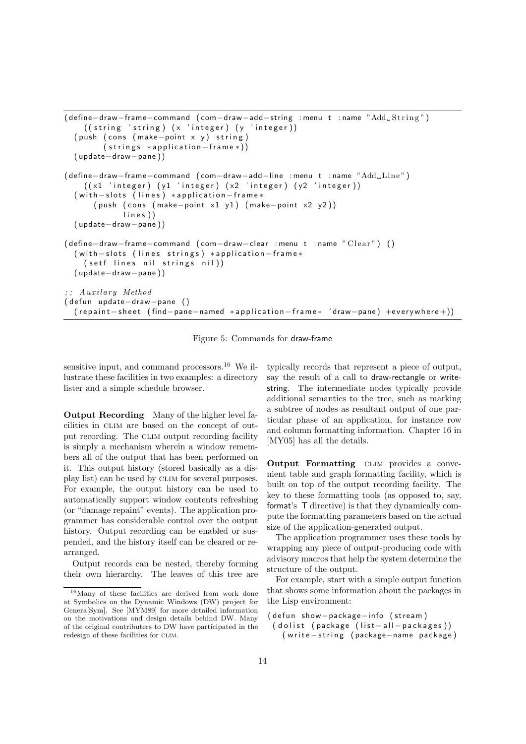```
( define-draw-frame-command ( com-draw-add-string : menu t : name "Add_String")
    ((string 'string) (x 'integer) (y 'integer))(push (cons (make-point x y) string)( strings *application-frame*))
  ( update−draw−pane ) )
( define−draw−frame−command ( com−draw−add−line : menu t : name "Add Line " )
    ((x1 'integer) (y1 'integer) (x2 'integer) (y2 'integer))( with -slots (lines) *application - frame*
      (push (cons (make-point x1 y1) (make-point x2 y2))lines))
  ( update−draw−pane ) )
( define-draw-frame-command ( com-draw-clear : menu t : name " Clear" ) ( )
  ( with -slots (lines strings) *application-frame*
    ( setf lines nil strings nil ))
  ( update−draw−pane ) )
;; A u x i lary Method
( defun update-draw-pane ()
  ( repaint - sheet ( find - pane-named * application - frame* 'draw-pane) +everywhere +))
```
Figure 5: Commands for draw-frame

sensitive input, and command processors.<sup>16</sup> We illustrate these facilities in two examples: a directory lister and a simple schedule browser.

Output Recording Many of the higher level facilities in CLIM are based on the concept of output recording. The CLIM output recording facility is simply a mechanism wherein a window remembers all of the output that has been performed on it. This output history (stored basically as a display list) can be used by CLIM for several purposes. For example, the output history can be used to automatically support window contents refreshing (or "damage repaint" events). The application programmer has considerable control over the output history. Output recording can be enabled or suspended, and the history itself can be cleared or rearranged.

Output records can be nested, thereby forming their own hierarchy. The leaves of this tree are typically records that represent a piece of output, say the result of a call to draw-rectangle or writestring. The intermediate nodes typically provide additional semantics to the tree, such as marking a subtree of nodes as resultant output of one particular phase of an application, for instance row and column formatting information. Chapter 16 in [MY05] has all the details.

Output Formatting CLIM provides a convenient table and graph formatting facility, which is built on top of the output recording facility. The key to these formatting tools (as opposed to, say, format's T directive) is that they dynamically compute the formatting parameters based on the actual size of the application-generated output.

The application programmer uses these tools by wrapping any piece of output-producing code with advisory macros that help the system determine the structure of the output.

For example, start with a simple output function that shows some information about the packages in the Lisp environment:

```
( defun show-package-info (stream)
 ( dolist ( package (list -all - packages))
   ( write -string ( package - name package)
```
<sup>16</sup>Many of these facilities are derived from work done at Symbolics on the Dynamic Windows (DW) project for Genera[Sym]. See [MYM89] for more detailed information on the motivations and design details behind DW. Many of the original contributers to DW have participated in the redesign of these facilities for CLIM.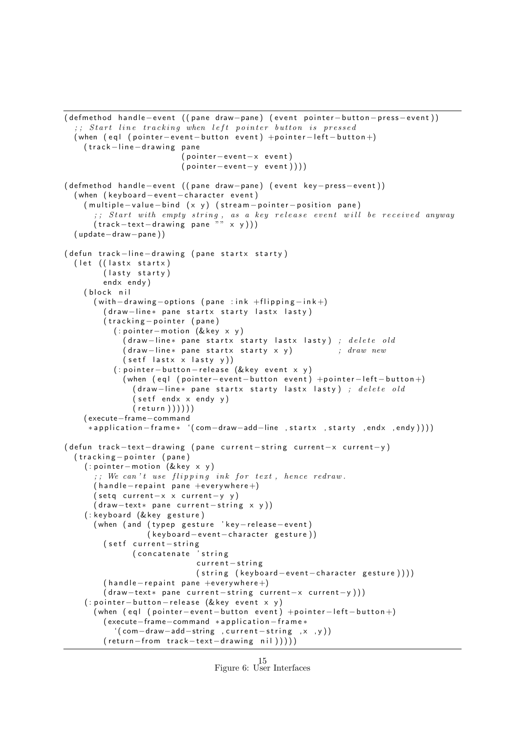```
( defmethod handle-event ( ( pane draw-pane) ( event pointer-button-press-event ) )
  , ; Start line tracking when left pointer button is pressed
  ( when ( eql ( pointer - event - button event) +pointer - left - button +)
    (track-line-drawing pane
                            (pointer - event - x event)(pointer-event-y event))( defmethod handle−event ( ( pane draw−pane) ( event key−press−event ) )
  ( when ( keyboard – event – character event)
    ( multiple-value-bind (x y) (stream-pointer-position pane)
       ;; Start with empty string, as a key release event will be received anyway
      (track-text-drawing pane "" x y)))
  ( update−draw−pane ) )
( defun track-line-drawing (pane startx starty)
  ( let ( ( lastx startx)
         (lasty starty)
         endx endy )
    (block nil
       (with-drawing – options ( pane : ink +flipping - ink +)( draw-line* pane startx starty lastx lasty)
         (tracking-pointer (pane)
           (i: pointer - motion (& key x y))( draw-line* pane startx starty lastx lasty) ; delete old
              (d \, \mathsf{raw} - \mathsf{line} \ast \, \mathsf{pane} \, \mathsf{startx} \, \mathsf{starty} \, \mathsf{x} \, \mathsf{y}) ; draw new
             (s etf lastx x lasty y ) )
           ( : pointer - button - release (& key event x y)
              ( when ( eql ( pointer – event – button event) + pointer – left – button +)
                ( draw-line* pane startx starty lastx lasty) ; delete old
                (s etf endx x endy y)
                (r et urn )) ) ))( execute−frame−command
     *application-frame* '(com-draw-add-line , startx , starty , endx , endy))))
( defun track-text-drawing ( pane current-string current-x current-y)
  (tracking-pointer (pane)
    (: pointer-motion (& key x y)
       ;; We can't use flipping ink for text, hence redraw.
       (hand le-repaint pane +everywhere+)
      (\text{setq current}-x \times \text{current}-y \cdot y)(draw-text * pane current - string x y))(: keyboard (& key gesture)
       ( when ( and ( typep gesture 'key-release-event)
                   ( keyboard - event - character gesture ))
         (setf current-string
                (concatenate 'string
                               current-string
                               (string (keyboard-event-character gesture))))
         (handle-repaint pane +everywhere +)
         (draw-text * pane current - string current -x current -y)))( : pointer - button - release (& key event x y)
      ( when \text{(eql (pointer–event)-button event)} + \text{pointer}-\text{left}-\text{button} + \text{b}( execute-frame-command *application-frame*
            ' ( com−draw−add−string ,current−string ,x ,y ) )
         (r_{\text{eturn}-from\text{ }trans\text{ }track-test-drawing\text{ }nil)))
```

```
Figure 6: User Interfaces
           15
```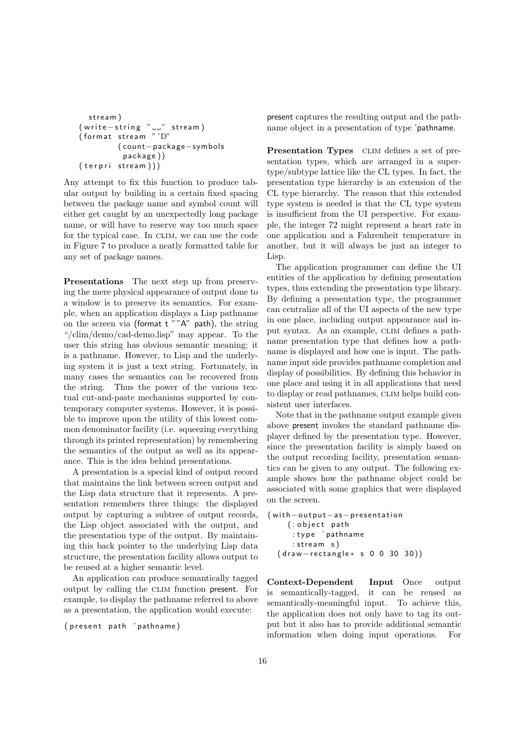```
stream)
(w rite -string "..." stream)
( format stream " \tilde{D}"( coun t−package−symbols
          package))
(terpri stream))
```
Any attempt to fix this function to produce tabular output by building in a certain fixed spacing between the package name and symbol count will either get caught by an unexpectedly long package name, or will have to reserve way too much space for the typical case. In CLIM, we can use the code in Figure 7 to produce a neatly formatted table for any set of package names.

Presentations The next step up from preserving the mere physical appearance of output done to a window is to preserve its semantics. For example, when an application displays a Lisp pathname on the screen via (format  $t$   $\tilde{A}$ " path), the string "/clim/demo/cad-demo.lisp" may appear. To the user this string has obvious semantic meaning; it is a pathname. However, to Lisp and the underlying system it is just a text string. Fortunately, in many cases the semantics can be recovered from the string. Thus the power of the various textual cut-and-paste mechanisms supported by contemporary computer systems. However, it is possible to improve upon the utility of this lowest common denominator facility (i.e. squeezing everything through its printed representation) by remembering the semantics of the output as well as its appearance. This is the idea behind presentations.

A presentation is a special kind of output record that maintains the link between screen output and the Lisp data structure that it represents. A presentation remembers three things: the displayed output by capturing a subtree of output records, the Lisp object associated with the output, and the presentation type of the output. By maintaining this back pointer to the underlying Lisp data structure, the presentation facility allows output to be reused at a higher semantic level.

An application can produce semantically tagged output by calling the CLIM function present. For example, to display the pathname referred to above as a presentation, the application would execute:

( present path 'pathname)

present captures the resulting output and the pathname object in a presentation of type 'pathname.

Presentation Types CLIM defines a set of presentation types, which are arranged in a supertype/subtype lattice like the CL types. In fact, the presentation type hierarchy is an extension of the CL type hierarchy. The reason that this extended type system is needed is that the CL type system is insufficient from the UI perspective. For example, the integer 72 might represent a heart rate in one application and a Fahrenheit temperature in another, but it will always be just an integer to Lisp.

The application programmer can define the UI entities of the application by defining presentation types, thus extending the presentation type library. By defining a presentation type, the programmer can centralize all of the UI aspects of the new type in one place, including output appearance and input syntax. As an example, CLIM defines a pathname presentation type that defines how a pathname is displayed and how one is input. The pathname input side provides pathname completion and display of possibilities. By defining this behavior in one place and using it in all applications that need to display or read pathnames, CLIM helps build consistent user interfaces.

Note that in the pathname output example given above present invokes the standard pathname displayer defined by the presentation type. However, since the presentation facility is simply based on the output recording facility, presentation semantics can be given to any output. The following example shows how the pathname object could be associated with some graphics that were displayed on the screen.

(with -output - as - presentation  $( : \texttt{object path})$ : t y p e ' pathname  $:$  stream  $s)$ ( draw-rectangle\* s 0 0 30 30))

Context-Dependent Input Once output is semantically-tagged, it can be reused as semantically-meaningful input. To achieve this, the application does not only have to tag its output but it also has to provide additional semantic information when doing input operations. For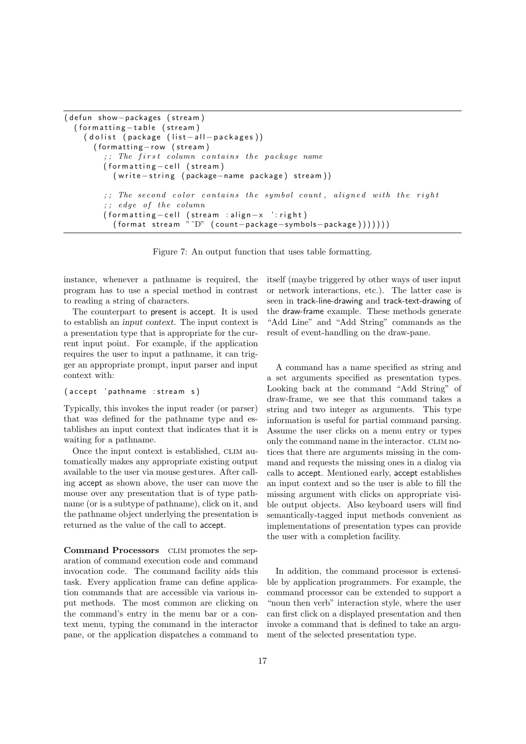```
( defun show-packages (stream)
  (formatting-table (stream)
    ( dolist ( package (list -all - packages))
       (formatting-row (stream)
         \tau;; The first column contains the package name
         (formatting - cell (stream)
           ( write – string ( package – name package) stream))
         ;; The second color contains the symbol count, aligned with the right
         ;; edge of the column
         ( for matting -cell ( stream : align -x ': right)
           (\text{format stream } "D" (\text{count-package}-\text{symbols}=\text{package})))))
```
Figure 7: An output function that uses table formatting.

instance, whenever a pathname is required, the program has to use a special method in contrast to reading a string of characters.

The counterpart to present is accept. It is used to establish an input context. The input context is a presentation type that is appropriate for the current input point. For example, if the application requires the user to input a pathname, it can trigger an appropriate prompt, input parser and input context with:

#### ( accept 'pathname : stream s)

Typically, this invokes the input reader (or parser) that was defined for the pathname type and establishes an input context that indicates that it is waiting for a pathname.

Once the input context is established, CLIM automatically makes any appropriate existing output available to the user via mouse gestures. After calling accept as shown above, the user can move the mouse over any presentation that is of type pathname (or is a subtype of pathname), click on it, and the pathname object underlying the presentation is returned as the value of the call to accept.

Command Processors CLIM promotes the separation of command execution code and command invocation code. The command facility aids this task. Every application frame can define application commands that are accessible via various input methods. The most common are clicking on the command's entry in the menu bar or a context menu, typing the command in the interactor pane, or the application dispatches a command to itself (maybe triggered by other ways of user input or network interactions, etc.). The latter case is seen in track-line-drawing and track-text-drawing of the draw-frame example. These methods generate "Add Line" and "Add String" commands as the result of event-handling on the draw-pane.

A command has a name specified as string and a set arguments specified as presentation types. Looking back at the command "Add String" of draw-frame, we see that this command takes a string and two integer as arguments. This type information is useful for partial command parsing. Assume the user clicks on a menu entry or types only the command name in the interactor. CLIM notices that there are arguments missing in the command and requests the missing ones in a dialog via calls to accept. Mentioned early, accept establishes an input context and so the user is able to fill the missing argument with clicks on appropriate visible output objects. Also keyboard users will find semantically-tagged input methods convenient as implementations of presentation types can provide the user with a completion facility.

In addition, the command processor is extensible by application programmers. For example, the command processor can be extended to support a "noun then verb" interaction style, where the user can first click on a displayed presentation and then invoke a command that is defined to take an argument of the selected presentation type.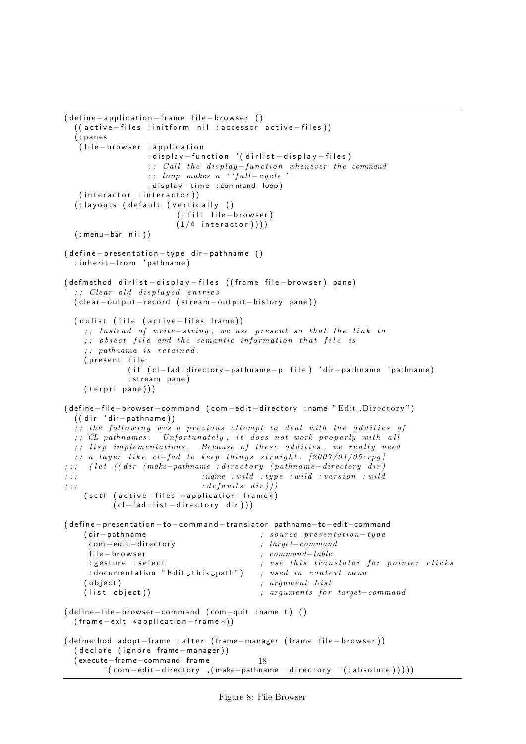```
( define -application - frame file - browser ()
  ( ( active – files : initform nil : accessor active – files ))
  ( : pa ne s
   (file-browser : application
                  : display – function '( dirlist – display – files)
                  ;; Call the display-function whenever the command
                  ;; loop makes a '' full-cycle''
                  : display-time : command-loop)
   (interator : interactor)(: layouts (default (vertically ()
                        (i: fill file - browser)(1/4 interactor ))(: menu-bar nil))
( define - presentation - type dir - pathname ()
  : inherit-from 'pathname)
( defmethod dirlist - display - files ((frame file - browser) pane)
  ;; Clear old displayed entries
  ( clear - out put - record ( stream - out put - history pane))
  ( dolist ( file ( active – files frame))
    ;; Instead of write-string, we use present so that the link to
    \tau; object file and the semantic information that file is
    ;; pathname is retained.
    (present file
              ( if ( cl-fad : directory - pathname - p file ) 'dir - pathname ' pathname )
              : stream pane)
    (terpri pane)))( define-file-browser-command ( com-edit-directory :name "Edit _Directory")
  ( ( dir ' dir - pathname ) )
  ;; the following was a previous attempt to deal with the oddities of
  ; ; CL pathnames. Unfortunately, it does not work properly with all
  ;; lisp implementations. Because of these oddities, we really need
  ;; a layer like cl-fad to keep things straight. [2007/01/05:rpg]
; ; ; ( let ((dir \ (make-pathname - directory \ (pathname - directory \ dir)); ; ; ; : ; : ; : ; : ; : ; : ; : ; : ; : ; : ; : ; : ; : ; : ; : ; : ; : ; : ; : ; : ; : ; : ; : ; : ; : ; : ; : ; : ; : ; : ; : ; : ; : ; : ; : ; :
\forall j; ; ; iii) \langle \text{defaults} \space \text{dir} \rangle( setf ( active – files *application – frame *)
           (cl-fad : list - directory dir )))( define-presentation-to-command-translator pathname-to-edit-command
    (dir-pathname
; source presentation-type
     com −edit −directory ; target-command
     file-browser ; command-table
     : gesture : select \hspace{1.5cm} ; use this translator for pointer clicks
     : documentation "Edit_this_path") ; used in context menu
    ( object ) ; argument List(llist \; object)) ; arguments for target-command
( define−file−browser-command ( com-quit : name t) ( )
  (frame-exit *application-frame*))
( defmethod adopt-frame : after ( frame-manager ( frame file-browser ))
  ( declare (ignore frame-manager))
  ( execute−frame−command f rame
         ' ( com - edit - directory , ( make-pathname : directory ' (: absolute ) ) ) )
                                           18
```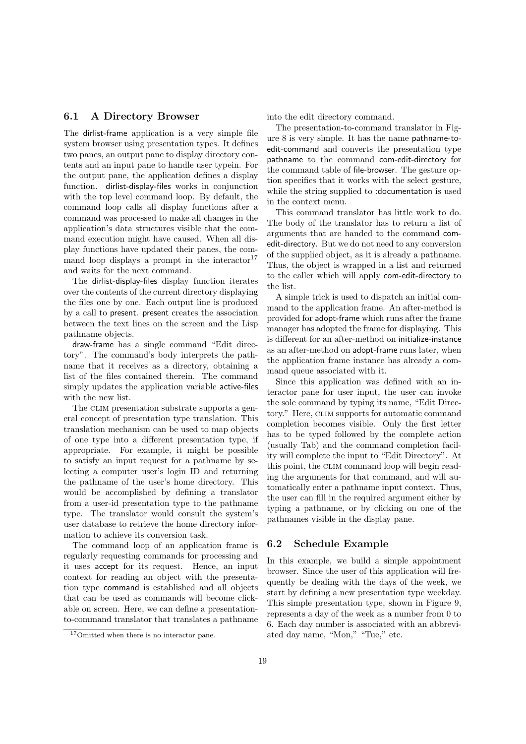### 6.1 A Directory Browser

The dirlist-frame application is a very simple file system browser using presentation types. It defines two panes, an output pane to display directory contents and an input pane to handle user typein. For the output pane, the application defines a display function. dirlist-display-files works in conjunction with the top level command loop. By default, the command loop calls all display functions after a command was processed to make all changes in the application's data structures visible that the command execution might have caused. When all display functions have updated their panes, the command loop displays a prompt in the interactor<sup>17</sup> and waits for the next command.

The dirlist-display-files display function iterates over the contents of the current directory displaying the files one by one. Each output line is produced by a call to present. present creates the association between the text lines on the screen and the Lisp pathname objects.

draw-frame has a single command "Edit directory". The command's body interprets the pathname that it receives as a directory, obtaining a list of the files contained therein. The command simply updates the application variable active-files with the new list.

The CLIM presentation substrate supports a general concept of presentation type translation. This translation mechanism can be used to map objects of one type into a different presentation type, if appropriate. For example, it might be possible to satisfy an input request for a pathname by selecting a computer user's login ID and returning the pathname of the user's home directory. This would be accomplished by defining a translator from a user-id presentation type to the pathname type. The translator would consult the system's user database to retrieve the home directory information to achieve its conversion task.

The command loop of an application frame is regularly requesting commands for processing and it uses accept for its request. Hence, an input context for reading an object with the presentation type command is established and all objects that can be used as commands will become clickable on screen. Here, we can define a presentationto-command translator that translates a pathname into the edit directory command.

The presentation-to-command translator in Figure 8 is very simple. It has the name pathname-toedit-command and converts the presentation type pathname to the command com-edit-directory for the command table of file-browser. The gesture option specifies that it works with the select gesture, while the string supplied to :documentation is used in the context menu.

This command translator has little work to do. The body of the translator has to return a list of arguments that are handed to the command comedit-directory. But we do not need to any conversion of the supplied object, as it is already a pathname. Thus, the object is wrapped in a list and returned to the caller which will apply com-edit-directory to the list.

A simple trick is used to dispatch an initial command to the application frame. An after-method is provided for adopt-frame which runs after the frame manager has adopted the frame for displaying. This is different for an after-method on initialize-instance as an after-method on adopt-frame runs later, when the application frame instance has already a command queue associated with it.

Since this application was defined with an interactor pane for user input, the user can invoke the sole command by typing its name, "Edit Directory." Here, clim supports for automatic command completion becomes visible. Only the first letter has to be typed followed by the complete action (usually Tab) and the command completion facility will complete the input to "Edit Directory". At this point, the CLIM command loop will begin reading the arguments for that command, and will automatically enter a pathname input context. Thus, the user can fill in the required argument either by typing a pathname, or by clicking on one of the pathnames visible in the display pane.

### 6.2 Schedule Example

In this example, we build a simple appointment browser. Since the user of this application will frequently be dealing with the days of the week, we start by defining a new presentation type weekday. This simple presentation type, shown in Figure 9, represents a day of the week as a number from 0 to 6. Each day number is associated with an abbreviated day name, "Mon," "Tue," etc.

<sup>&</sup>lt;sup>17</sup>Omitted when there is no interactor pane.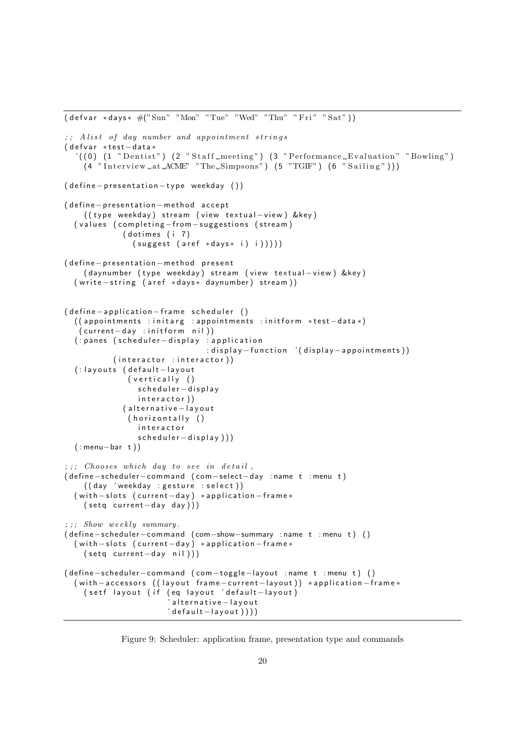```
(\text{defvar} * \text{days} * #("Sun" "Mon" "Tue" "Wed" "Thu" "Fri" "Sat");; Alist of day number and appointment strings
( defvar *test-data*
   '((0) (1 "Dentist") (2 "Staff_meeting") (3 "Performance_Evaluation" "Bowling")
    (4 \text{ "Interview}_at \text{ }\text{ACME" \text{ "The}_s \text{Simpsons" } (5 \text{ "TGIF" } (6 \text{ "Sailing" })))( define - presentation - type weekday ())
( define - presentation - method accept
    ( ( type weekday ) stream ( view textual-view ) &key )
  ( values ( completing-from-suggestions (stream)
             (dotimes (i 7)
                (suggest (are f * days * i) i)))( define-presentation-method present
    ( daynumber ( type weekday) stream ( view textual – view ) &key )
  ( write – string ( aref *days* daynumber) stream))
( define -application - frame scheduler ()
  ( ( appointments : initarg : appointments : initform *test-data *)
   ( current-day : initform nil))
  (: panes (scheduler-display : application
                                 : display −function '(display -appointments))
           (interator :interactor))
  (: layouts (default-layout
               (v ertically ()scheduler-display
                 interactor))
             (alternative-layout
               (horizontally ()
                 interactor
                 scheduler-display)))
  ( : menu−bar t ) )
; ; ; Chooses which day to see in detail,
( de fine−schedule r−command ( com−select−day : name t : menu t )
    ((day 'weekday : gesture : select))
  ( with -slots ( current - day) *application - frame*
    (setq current-day day))
; ; ; Show weekly summary.
( de fine−schedule r−command ( com−show−summary : name t : menu t ) ( )
  ( with -slots ( current - day) *application - frame*
    ( setq current-day nil ) ) )
( define-scheduler-command ( com-toggle-layout : name t : menu t) ( )
  ( with -accessors ( (layout frame -current -layout)) *application -frame*
    ( setf layout ( if ( eq layout 'default -layout)
                         'a l t e r n a t i v e − l a y o u t
                        ' default-layout ) ) ) )
```
Figure 9: Scheduler: application frame, presentation type and commands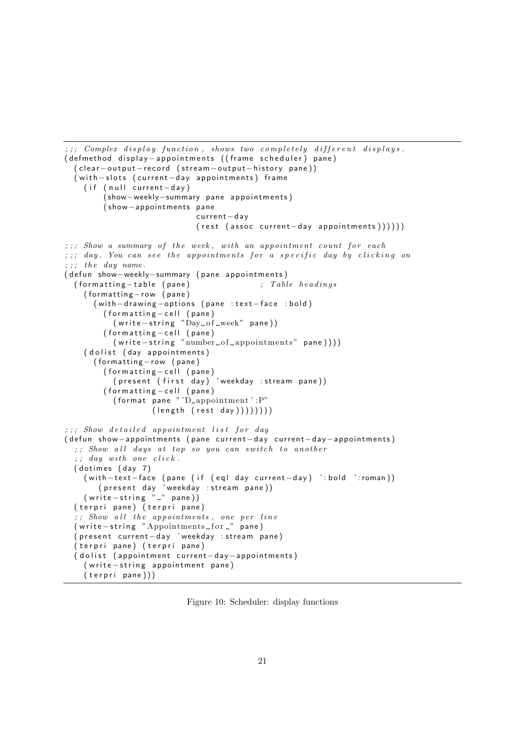```
\therefore ; \therefore Complex display function, shows two completely different displays.
( defmethod display - appointments ((frame scheduler) pane)
  ( clear - output - record ( stream - output - history pane))
  ( with -slots ( current - day appointments) frame
    ( if ( null current-day)
        (show-weekly-summary pane appointments)
        ( show−appoin tmen ts pane
                             current-day
                             (rest (assoc current-day appointments)))))))
;;;; Show a summary of the week, with an appointment count for each
;;; day. You can see the appointments for a specific day by clicking on
; ;; the day name.
( defun show-weekly-summary ( pane appointments)
  ( for matting - table (pane) ; Table headings
    (formatting-row (pane)
      ( with - drawing - options ( pane : text - face : bold)
        (formatting-cell (pane)
          (w rite -string "Day_of _week" pane))
        (formating-cell (panel)( write-string "number of appointments" pane ) ) ) )
    (dolist (day appointments)
      (formatting-row (pane)
        (formating-cell ( pane)(p resent (p \text{ first } \text{ day}) 'weekday : stream pane ) )
        (formatting-cell (pane)
           (format pane "D appointment": P"
                   (length (rest day) )) )); ; ; Show detailed appointment list for day
( defun show-appointments ( pane current-day current-day-appointments)
  ;; Show all days at top so you can switch to another
  ;; day with one click.
  (dotimes (day 7)
    ( with-text-face (pane ( if ( eql day current-day) ': bold ': roman))
       ( present day 'weekday : stream pane ) )
    (w rite -string " " " pane )( terpri pane) ( terpri pane)
  ;; Show all the appointments, one per line
  ( write-string " Appointments_for _" pane)
  ( present current-day 'weekday : stream pane)
  ( terpri pane) ( terpri pane)
  ( dolist ( appointment current-day-appointments)
    ( write-string appointment pane)
    (terpri pane))
```
Figure 10: Scheduler: display functions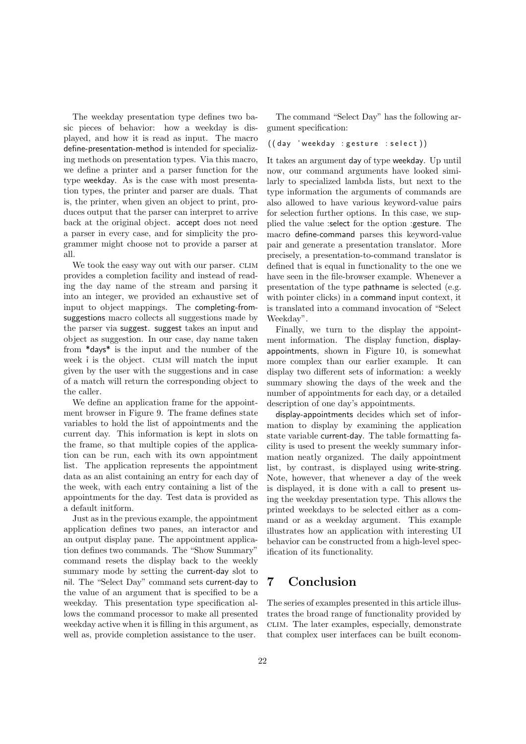The weekday presentation type defines two basic pieces of behavior: how a weekday is displayed, and how it is read as input. The macro define-presentation-method is intended for specializing methods on presentation types. Via this macro, we define a printer and a parser function for the type weekday. As is the case with most presentation types, the printer and parser are duals. That is, the printer, when given an object to print, produces output that the parser can interpret to arrive back at the original object. accept does not need a parser in every case, and for simplicity the programmer might choose not to provide a parser at all.

We took the easy way out with our parser. CLIM provides a completion facility and instead of reading the day name of the stream and parsing it into an integer, we provided an exhaustive set of input to object mappings. The completing-fromsuggestions macro collects all suggestions made by the parser via suggest. suggest takes an input and object as suggestion. In our case, day name taken from \*days\* is the input and the number of the week i is the object. CLIM will match the input given by the user with the suggestions and in case of a match will return the corresponding object to the caller.

We define an application frame for the appointment browser in Figure 9. The frame defines state variables to hold the list of appointments and the current day. This information is kept in slots on the frame, so that multiple copies of the application can be run, each with its own appointment list. The application represents the appointment data as an alist containing an entry for each day of the week, with each entry containing a list of the appointments for the day. Test data is provided as a default initform.

Just as in the previous example, the appointment application defines two panes, an interactor and an output display pane. The appointment application defines two commands. The "Show Summary" command resets the display back to the weekly summary mode by setting the current-day slot to nil. The "Select Day" command sets current-day to the value of an argument that is specified to be a weekday. This presentation type specification allows the command processor to make all presented weekday active when it is filling in this argument, as well as, provide completion assistance to the user.

The command "Select Day" has the following argument specification:

#### $((day 'weekday :gesture : select))$

It takes an argument day of type weekday. Up until now, our command arguments have looked similarly to specialized lambda lists, but next to the type information the arguments of commands are also allowed to have various keyword-value pairs for selection further options. In this case, we supplied the value :select for the option :gesture. The macro define-command parses this keyword-value pair and generate a presentation translator. More precisely, a presentation-to-command translator is defined that is equal in functionality to the one we have seen in the file-browser example. Whenever a presentation of the type pathname is selected (e.g. with pointer clicks) in a command input context, it is translated into a command invocation of "Select Weekday".

Finally, we turn to the display the appointment information. The display function, displayappointments, shown in Figure 10, is somewhat more complex than our earlier example. It can display two different sets of information: a weekly summary showing the days of the week and the number of appointments for each day, or a detailed description of one day's appointments.

display-appointments decides which set of information to display by examining the application state variable current-day. The table formatting facility is used to present the weekly summary information neatly organized. The daily appointment list, by contrast, is displayed using write-string. Note, however, that whenever a day of the week is displayed, it is done with a call to present using the weekday presentation type. This allows the printed weekdays to be selected either as a command or as a weekday argument. This example illustrates how an application with interesting UI behavior can be constructed from a high-level specification of its functionality.

# 7 Conclusion

The series of examples presented in this article illustrates the broad range of functionality provided by clim. The later examples, especially, demonstrate that complex user interfaces can be built econom